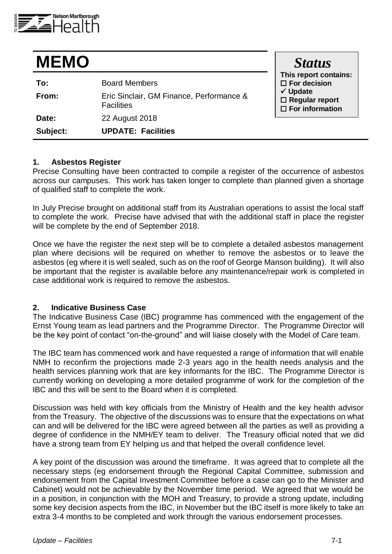

| <b>MEMO</b> |                                                               | <b>Status</b><br>This report contains:<br>$\Box$ For decision<br>$\checkmark$ Update<br>$\square$ Regular report<br>$\square$ For information |
|-------------|---------------------------------------------------------------|-----------------------------------------------------------------------------------------------------------------------------------------------|
| To:         | <b>Board Members</b>                                          |                                                                                                                                               |
| From:       | Eric Sinclair, GM Finance, Performance &<br><b>Facilities</b> |                                                                                                                                               |
| Date:       | 22 August 2018                                                |                                                                                                                                               |
| Subject:    | <b>UPDATE: Facilities</b>                                     |                                                                                                                                               |

## **1. Asbestos Register**

Precise Consulting have been contracted to compile a register of the occurrence of asbestos across our campuses. This work has taken longer to complete than planned given a shortage of qualified staff to complete the work.

In July Precise brought on additional staff from its Australian operations to assist the local staff to complete the work. Precise have advised that with the additional staff in place the register will be complete by the end of September 2018.

Once we have the register the next step will be to complete a detailed asbestos management plan where decisions will be required on whether to remove the asbestos or to leave the asbestos (eg where it is well sealed, such as on the roof of George Manson building). It will also be important that the register is available before any maintenance/repair work is completed in case additional work is required to remove the asbestos.

## **2. Indicative Business Case**

The Indicative Business Case (IBC) programme has commenced with the engagement of the Ernst Young team as lead partners and the Programme Director. The Programme Director will be the key point of contact "on-the-ground" and will liaise closely with the Model of Care team.

The IBC team has commenced work and have requested a range of information that will enable NMH to reconfirm the projections made 2-3 years ago in the health needs analysis and the health services planning work that are key informants for the IBC. The Programme Director is currently working on developing a more detailed programme of work for the completion of the IBC and this will be sent to the Board when it is completed.

Discussion was held with key officials from the Ministry of Health and the key health advisor from the Treasury. The objective of the discussions was to ensure that the expectations on what can and will be delivered for the IBC were agreed between all the parties as well as providing a degree of confidence in the NMH/EY team to deliver. The Treasury official noted that we did have a strong team from EY helping us and that helped the overall confidence level.

A key point of the discussion was around the timeframe. It was agreed that to complete all the necessary steps (eg endorsement through the Regional Capital Committee, submission and endorsement from the Capital Investment Committee before a case can go to the Minister and Cabinet) would not be achievable by the November time period. We agreed that we would be in a position, in conjunction with the MOH and Treasury, to provide a strong update, including some key decision aspects from the IBC, in November but the IBC itself is more likely to take an extra 3-4 months to be completed and work through the various endorsement processes.